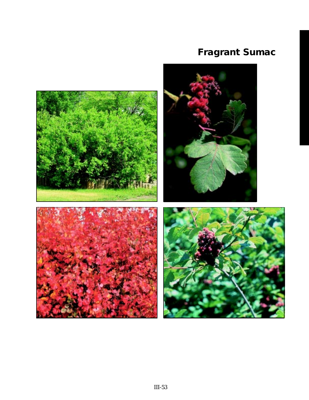# **Fragrant Sumac**